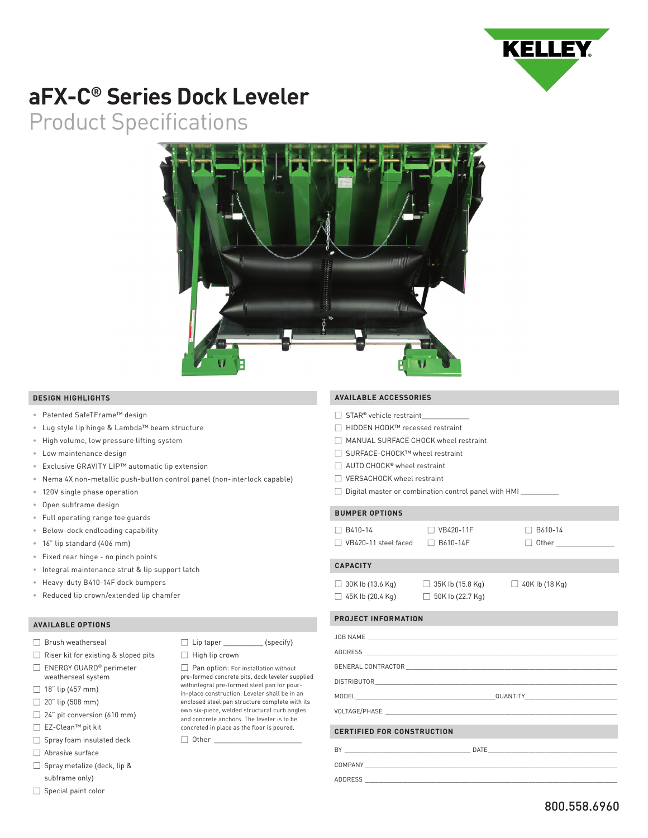

# **aFX-C® Series Dock Leveler**

Product Specifications



#### **DESIGN HIGHLIGHTS**

- Patented SafeTFrame™ design
- Lug style lip hinge & Lambda™ beam structure
- High volume, low pressure lifting system
- Low maintenance design
- Exclusive GRAVITY LIP™ automatic lip extension
- Nema 4X non-metallic push-button control panel (non-interlock capable)

 $\Box$  Lip taper (specify)

Pan option: For installation without pre-formed concrete pits, dock leveler supplied withintegral pre-formed steel pan for pourin-place construction. Leveler shall be in an enclosed steel pan structure complete with its own six-piece, welded structural curb angles and concrete anchors. The leveler is to be concreted in place as the floor is poured.

 $\Box$  High lip crown

 $\Box$  Other

- 120V single phase operation
- Open subframe design
- Full operating range toe guards
- Below-dock endloading capability
- 16" lip standard (406 mm)
- Fixed rear hinge no pinch points
- Integral maintenance strut & lip support latch
- Heavy-duty B410-14F dock bumpers
- Reduced lip crown/extended lip chamfer

#### **AVAILABLE OPTIONS**

- Brush weatherseal
- $\Box$  Riser kit for existing & sloped pits
- ENERGY GUARD® perimeter weatherseal system
- $\Box$  18" lip (457 mm)
- $\Box$  20" lip (508 mm)
- $\Box$  24" pit conversion (610 mm)
- EZ-Clean™ pit kit
- $\Box$  Spray foam insulated deck
- Abrasive surface
- Spray metalize (deck, lip & subframe only)
- $\Box$  Special paint color

### **AVAILABLE ACCESSORIES**

- STAR**®** vehicle restraint\_\_\_\_\_\_\_\_\_\_\_\_
- HIDDEN HOOK™ recessed restraint
- MANUAL SURFACE CHOCK wheel restraint
- SURFACE-CHOCK™ wheel restraint
- AUTO CHOCK**®** wheel restraint
- □ VERSACHOCK wheel restraint
- $\Box$  Digital master or combination control panel with HMI

#### **BUMPER OPTIONS**

 $\Box$  B410-14  $\Box$  VB420-11F  $\Box$  B610-14  $\Box$  VB420-11 steel faced  $\Box$  B610-14F  $\Box$  Other

## **CAPACITY**

 $\Box$  30K Ib (13.6 Kg)  $\Box$  35K Ib (15.8 Kg)  $\Box$  40K Ib (18 Kg)  $\Box$  45K Ib (20.4 Kg)  $\Box$  50K Ib (22.7 Kg)

# **PROJECT INFORMATION**

| <b>CERTIFIED FOR CONSTRUCTION</b>                             |  |
|---------------------------------------------------------------|--|
| BY<br><u> 1980 - Johann Stein, marwolaethau a bhann an t-</u> |  |

COMPANY

ADDRESS \_\_\_\_\_\_\_\_\_\_\_\_\_\_\_\_\_\_\_\_\_\_\_\_\_\_\_\_\_\_\_\_\_\_\_\_\_\_\_\_\_\_\_\_\_\_\_\_\_\_\_\_\_\_\_\_\_\_\_\_\_\_\_\_\_\_\_\_\_\_\_\_\_\_